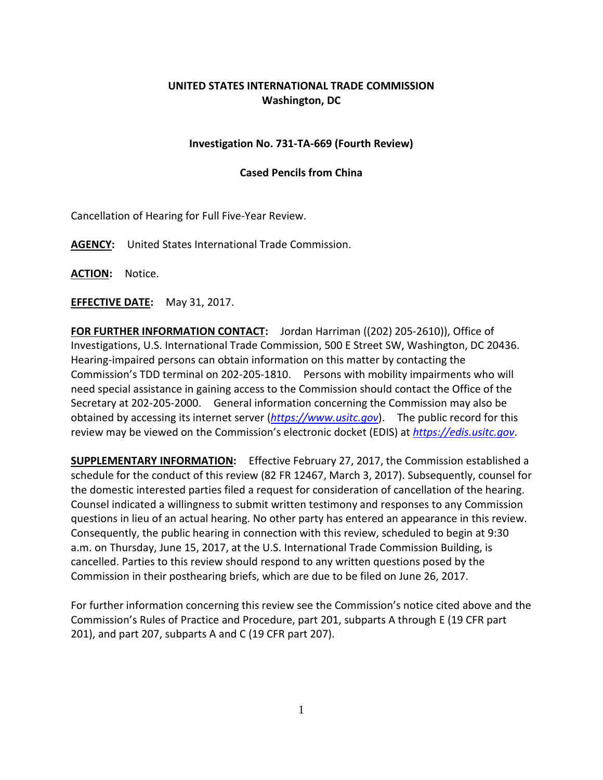## **UNITED STATES INTERNATIONAL TRADE COMMISSION Washington, DC**

## **Investigation No. 731-TA-669 (Fourth Review)**

## **Cased Pencils from China**

Cancellation of Hearing for Full Five-Year Review.

**AGENCY:** United States International Trade Commission.

**ACTION:** Notice.

**EFFECTIVE DATE:** May 31, 2017.

**FOR FURTHER INFORMATION CONTACT:** Jordan Harriman ((202) 205-2610)), Office of Investigations, U.S. International Trade Commission, 500 E Street SW, Washington, DC 20436. Hearing-impaired persons can obtain information on this matter by contacting the Commission's TDD terminal on 202-205-1810. Persons with mobility impairments who will need special assistance in gaining access to the Commission should contact the Office of the Secretary at 202-205-2000. General information concerning the Commission may also be obtained by accessing its internet server (*[https://www.usitc.gov](https://www.usitc.gov/)*). The public record for this review may be viewed on the Commission's electronic docket (EDIS) at *[https://edis.usitc.gov](https://edis.usitc.gov/)*.

**SUPPLEMENTARY INFORMATION:** Effective February 27, 2017, the Commission established a schedule for the conduct of this review (82 FR 12467, March 3, 2017). Subsequently, counsel for the domestic interested parties filed a request for consideration of cancellation of the hearing. Counsel indicated a willingness to submit written testimony and responses to any Commission questions in lieu of an actual hearing. No other party has entered an appearance in this review. Consequently, the public hearing in connection with this review, scheduled to begin at 9:30 a.m. on Thursday, June 15, 2017, at the U.S. International Trade Commission Building, is cancelled. Parties to this review should respond to any written questions posed by the Commission in their posthearing briefs, which are due to be filed on June 26, 2017.

For further information concerning this review see the Commission's notice cited above and the Commission's Rules of Practice and Procedure, part 201, subparts A through E (19 CFR part 201), and part 207, subparts A and C (19 CFR part 207).